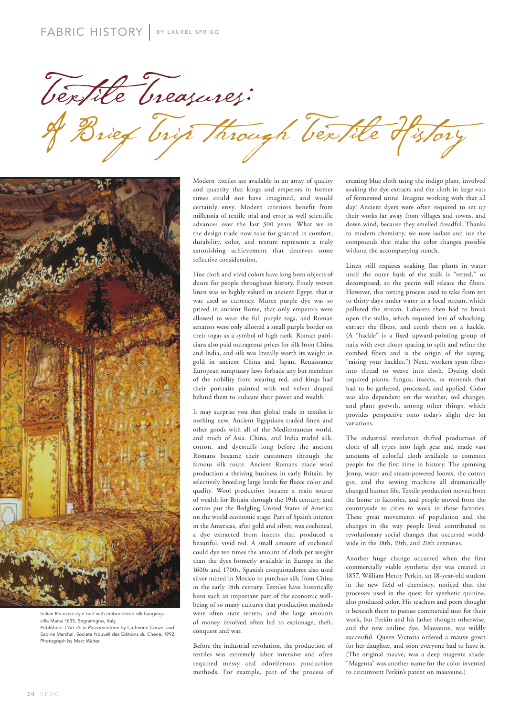Textile Treasures: Brief Trip Through Textile History



Italian Rococco style bed with embroidered silk hangings villa Mansi 1635, Segramigno, Italy. Published: L'Art de la Passementerie by Catherine Conzel and Sabine Marchal, Societe Nouvell des Editions du Chene, 1992. Photograph by Marc Walter.

Modern textiles are available in an array of quality and quantity that kings and emperors in former times could not have imagined, and would certainly envy. Modern interiors benefit from millennia of textile trial and error as well scientific advances over the last 300 years. What we in the design trade now take for granted in comfort, durability, color, and texture represents a truly astonishing achievement that deserves some reflective consideration.

Fine cloth and vivid colors have long been objects of desire for people throughout history. Finely woven linen was so highly valued in ancient Egypt, that it was used as currency. Murex purple dye was so prized in ancient Rome, that only emperors were allowed to wear the full purple toga, and Roman senators were only allotted a small purple border on their togas as a symbol of high rank. Roman patricians also paid outrageous prices for silk from China and India, and silk was literally worth its weight in gold in ancient China and Japan. Renaissance European sumptuary laws forbade any but members of the nobility from wearing red, and kings had their portraits painted with red velvet draped behind them to indicate their power and wealth.

It may surprise you that global trade in textiles is nothing new. Ancient Egyptians traded linen and other goods with all of the Mediterranean world, and much of Asia. China, and India traded silk, cotton, and dyestuffs long before the ancient Romans became their customers through the famous silk route. Ancient Romans made wool production a thriving business in early Britain, by selectively breeding large herds for fleece color and quality. Wool production became a main source of wealth for Britain through the 19th century, and cotton put the fledgling United States of America on the world economic stage. Part of Spain's interest in the Americas, after gold and silver, was cochineal, a dye extracted from insects that produced a beautiful, vivid red. A small amount of cochineal could dye ten times the amount of cloth per weight than the dyes formerly available in Europe in the 1600s and 1700s. Spanish conquistadores also used silver mined in Mexico to purchase silk from China in the early 18th century. Textiles have historically been such an important part of the economic wellbeing of so many cultures that production methods were often state secrets, and the large amounts of money involved often led to espionage, theft, conquest and war.

Before the industrial revolution, the production of textiles was extremely labor intensive and often required messy and odoriferous production methods. For example, part of the process of creating blue cloth using the indigo plant, involved soaking the dye extracts and the cloth in large vats of fermented urine. Imagine working with that all day! Ancient dyers were often required to set up their works far away from villages and towns, and down wind, because they smelled dreadful. Thanks to modern chemistry, we now isolate and use the compounds that make the color changes possible without the accompanying stench.

Linen still requires soaking flax plants in water until the outer husk of the stalk is "retted," or decomposed, so the pectin will release the fibers. However, this rotting process used to take from ten to thirty days under water in a local stream, which polluted the stream. Laborers then had to break open the stalks, which required lots of whacking, extract the fibers, and comb them on a hackle. (A "hackle" is a fixed upward-pointing group of nails with ever closer spacing to split and refine the combed fibers and is the origin of the saying. "raising your hackles.") Next, workers spun fibers into thread to weave into cloth. Dyeing cloth required plants, fungus, insects, or minerals that had to be gathered, processed, and applied. Color was also dependent on the weather, soil changes, and plant growth, among other things, which provides perspective onto today's slight dye lot variations.

The industrial revolution shifted production of cloth of all types into high gear and made vast amounts of colorful cloth available to common people for the first time in history. The spinning Jenny, water and steam-powered looms, the cotton gin, and the sewing machine all dramatically changed human life. Textile production moved from the home to factories, and people moved from the countryside to cities to work in those factories. These great movements of population and the changes in the way people lived contributed to revolutionary social changes that occurred worldwide in the 18th, 19th, and 20th centuries.

Another huge change occurred when the first commercially viable synthetic dye was created in 1857. William Henry Perkin, an 18-year-old student in the new field of chemistry, noticed that the processes used in the quest for synthetic quinine, also produced color. His teachers and peers thought it beneath them to pursue commercial uses for their work, but Perkin and his father thought otherwise, and the new aniline dye, Mauveine, was wildly successful. Queen Victoria ordered a mauve gown for her daughter, and soon everyone had to have it. (The original mauve, was a deep magenta shade. "Magenta" was another name for the color invented to circumvent Perkin's patent on mauveine.)